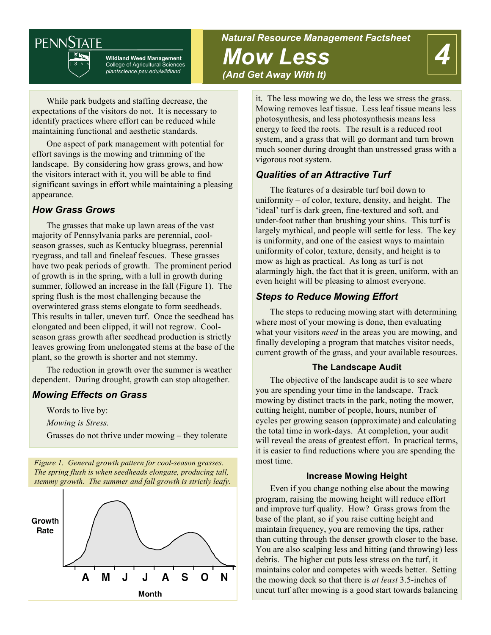# **PENNSTATE**



**Wildland Weed Management** College of Agricultural Sciences *plantscience.psu.edu/wildland*

## *Natural Resource Management Factsheet Mow Less (And Get Away With It)*



While park budgets and staffing decrease, the expectations of the visitors do not. It is necessary to identify practices where effort can be reduced while maintaining functional and aesthetic standards.

One aspect of park management with potential for effort savings is the mowing and trimming of the landscape. By considering how grass grows, and how the visitors interact with it, you will be able to find significant savings in effort while maintaining a pleasing appearance.

### *How Grass Grows*

The grasses that make up lawn areas of the vast majority of Pennsylvania parks are perennial, coolseason grasses, such as Kentucky bluegrass, perennial ryegrass, and tall and fineleaf fescues. These grasses have two peak periods of growth. The prominent period of growth is in the spring, with a lull in growth during summer, followed an increase in the fall (Figure 1). The spring flush is the most challenging because the overwintered grass stems elongate to form seedheads. This results in taller, uneven turf. Once the seedhead has elongated and been clipped, it will not regrow. Coolseason grass growth after seedhead production is strictly leaves growing from unelongated stems at the base of the plant, so the growth is shorter and not stemmy.

The reduction in growth over the summer is weather dependent. During drought, growth can stop altogether.

## *Mowing Effects on Grass*

Words to live by:

*Mowing is Stress.*

Grasses do not thrive under mowing – they tolerate

*Figure 1. General growth pattern for cool-season grasses. The spring flush is when seedheads elongate, producing tall, stemmy growth. The summer and fall growth is strictly leafy.*



it. The less mowing we do, the less we stress the grass. Mowing removes leaf tissue. Less leaf tissue means less photosynthesis, and less photosynthesis means less energy to feed the roots. The result is a reduced root system, and a grass that will go dormant and turn brown much sooner during drought than unstressed grass with a vigorous root system.

## *Qualities of an Attractive Turf*

The features of a desirable turf boil down to uniformity – of color, texture, density, and height. The 'ideal' turf is dark green, fine-textured and soft, and under-foot rather than brushing your shins. This turf is largely mythical, and people will settle for less. The key is uniformity, and one of the easiest ways to maintain uniformity of color, texture, density, and height is to mow as high as practical. As long as turf is not alarmingly high, the fact that it is green, uniform, with an even height will be pleasing to almost everyone.

## *Steps to Reduce Mowing Effort*

The steps to reducing mowing start with determining where most of your mowing is done, then evaluating what your visitors *need* in the areas you are mowing, and finally developing a program that matches visitor needs, current growth of the grass, and your available resources.

#### **The Landscape Audit**

The objective of the landscape audit is to see where you are spending your time in the landscape. Track mowing by distinct tracts in the park, noting the mower, cutting height, number of people, hours, number of cycles per growing season (approximate) and calculating the total time in work-days. At completion, your audit will reveal the areas of greatest effort. In practical terms, it is easier to find reductions where you are spending the most time.

#### **Increase Mowing Height**

Even if you change nothing else about the mowing program, raising the mowing height will reduce effort and improve turf quality. How? Grass grows from the base of the plant, so if you raise cutting height and maintain frequency, you are removing the tips, rather than cutting through the denser growth closer to the base. You are also scalping less and hitting (and throwing) less debris. The higher cut puts less stress on the turf, it maintains color and competes with weeds better. Setting the mowing deck so that there is *at least* 3.5-inches of uncut turf after mowing is a good start towards balancing